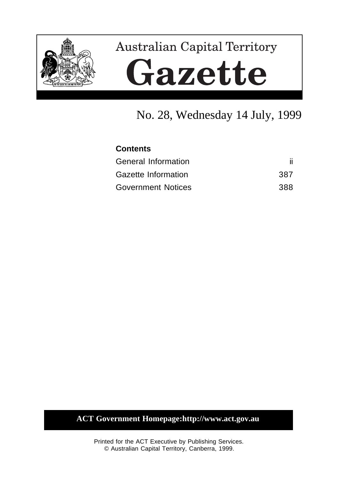

# **Australian Capital Territory** Gazette

# No. 28, Wednesday 14 July, 1999

| <b>Contents</b>           |      |  |  |
|---------------------------|------|--|--|
| General Information       |      |  |  |
| Gazette Information       | 387. |  |  |
| <b>Government Notices</b> | 388. |  |  |

**ACT Government Homepage:http://www.act.gov.au**

Printed for the ACT Executive by Publishing Services. © Australian Capital Territory, Canberra, 1999.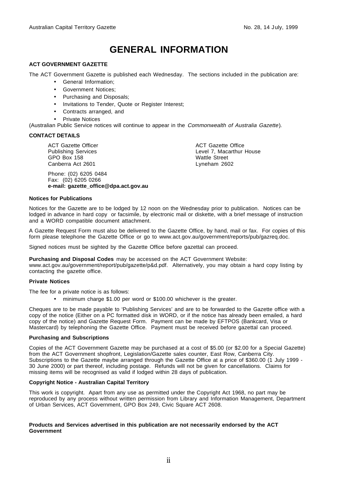# **GENERAL INFORMATION**

#### **ACT GOVERNMENT GAZETTE**

The ACT Government Gazette is published each Wednesday. The sections included in the publication are:

- General Information;
- Government Notices;
- Purchasing and Disposals;
- Invitations to Tender, Quote or Register Interest;
- Contracts arranged, and
- **Private Notices**

(Australian Public Service notices will continue to appear in the Commonwealth of Australia Gazette).

#### **CONTACT DETAILS**

ACT Gazette Officer Publishing Services GPO Box 158 Canberra Act 2601

Phone: (02) 6205 0484 Fax: (02) 6205 0266 **e-mail: gazette\_office@dpa.act.gov.au**

ACT Gazette Office Level 7, Macarthur House Wattle Street Lyneham 2602

#### **Notices for Publications**

Notices for the Gazette are to be lodged by 12 noon on the Wednesday prior to publication. Notices can be lodged in advance in hard copy or facsimile, by electronic mail or diskette, with a brief message of instruction and a WORD compatible document attachment.

A Gazette Request Form must also be delivered to the Gazette Office, by hand, mail or fax. For copies of this form please telephone the Gazette Office or go to www.act.gov.au/government/reports/pub/gazreq.doc.

Signed notices must be sighted by the Gazette Office before gazettal can proceed.

#### **Purchasing and Disposal Codes** may be accessed on the ACT Government Website:

www.act.gov.au/government/report/pub/gazette/p&d.pdf. Alternatively, you may obtain a hard copy listing by contacting the gazette office.

#### **Private Notices**

The fee for a private notice is as follows:

• minimum charge \$1.00 per word or \$100.00 whichever is the greater.

Cheques are to be made payable to 'Publishing Services' and are to be forwarded to the Gazette office with a copy of the notice (Either on a PC formatted disk in WORD, or if the notice has already been emailed, a hard copy of the notice) and Gazette Request Form. Payment can be made by EFTPOS (Bankcard, Visa or Mastercard) by telephoning the Gazette Office. Payment must be received before gazettal can proceed.

#### **Purchasing and Subscriptions**

Copies of the ACT Government Gazette may be purchased at a cost of \$5.00 (or \$2.00 for a Special Gazette) from the ACT Government shopfront, Legislation/Gazette sales counter, East Row, Canberra City. Subscriptions to the Gazette maybe arranged through the Gazette Office at a price of \$360.00 (1 July 1999 -30 June 2000) or part thereof, including postage. Refunds will not be given for cancellations. Claims for missing items will be recognised as valid if lodged within 28 days of publication.

#### **Copyright Notice - Australian Capital Territory**

This work is copyright. Apart from any use as permitted under the Copyright Act 1968, no part may be reproduced by any process without written permission from Library and Information Management, Department of Urban Services, ACT Government, GPO Box 249, Civic Square ACT 2608.

#### **Products and Services advertised in this publication are not necessarily endorsed by the ACT Government**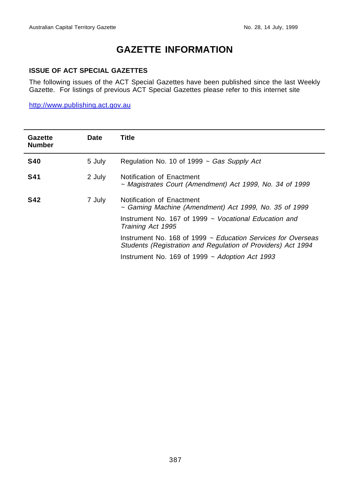# **GAZETTE INFORMATION**

#### **ISSUE OF ACT SPECIAL GAZETTES**

The following issues of the ACT Special Gazettes have been published since the last Weekly Gazette. For listings of previous ACT Special Gazettes please refer to this internet site

http://www.publishing.act.gov.au

| Gazette<br><b>Number</b> | Date   | Title                                                                                                                        |
|--------------------------|--------|------------------------------------------------------------------------------------------------------------------------------|
| <b>S40</b>               | 5 July | Regulation No. 10 of 1999 $\sim$ Gas Supply Act                                                                              |
| <b>S41</b>               | 2 July | Notification of Enactment<br>~ Magistrates Court (Amendment) Act 1999, No. 34 of 1999                                        |
| <b>S42</b>               | 7 July | Notification of Enactment<br>$\sim$ Gaming Machine (Amendment) Act 1999, No. 35 of 1999                                      |
|                          |        | Instrument No. 167 of 1999 $\sim$ Vocational Education and<br>Training Act 1995                                              |
|                          |        | Instrument No. 168 of 1999 ~ Education Services for Overseas<br>Students (Registration and Regulation of Providers) Act 1994 |
|                          |        | Instrument No. 169 of 1999 $\sim$ Adoption Act 1993                                                                          |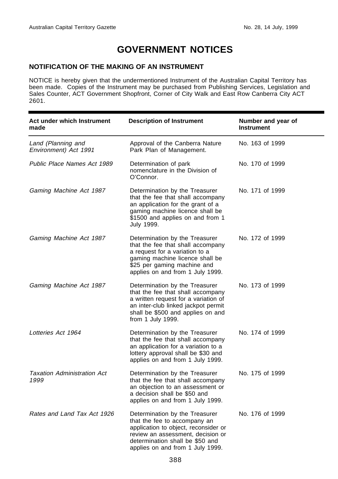# **GOVERNMENT NOTICES**

#### **NOTIFICATION OF THE MAKING OF AN INSTRUMENT**

NOTICE is hereby given that the undermentioned Instrument of the Australian Capital Territory has been made. Copies of the Instrument may be purchased from Publishing Services, Legislation and Sales Counter, ACT Government Shopfront, Corner of City Walk and East Row Canberra City ACT 2601.

| Act under which Instrument<br>made          | <b>Description of Instrument</b>                                                                                                                                                                                   | Number and year of<br><b>Instrument</b> |
|---------------------------------------------|--------------------------------------------------------------------------------------------------------------------------------------------------------------------------------------------------------------------|-----------------------------------------|
| Land (Planning and<br>Environment) Act 1991 | Approval of the Canberra Nature<br>Park Plan of Management.                                                                                                                                                        | No. 163 of 1999                         |
| Public Place Names Act 1989                 | Determination of park<br>nomenclature in the Division of<br>O'Connor.                                                                                                                                              | No. 170 of 1999                         |
| Gaming Machine Act 1987                     | Determination by the Treasurer<br>that the fee that shall accompany<br>an application for the grant of a<br>gaming machine licence shall be<br>\$1500 and applies on and from 1<br>July 1999.                      | No. 171 of 1999                         |
| Gaming Machine Act 1987                     | Determination by the Treasurer<br>that the fee that shall accompany<br>a request for a variation to a<br>gaming machine licence shall be<br>\$25 per gaming machine and<br>applies on and from 1 July 1999.        | No. 172 of 1999                         |
| Gaming Machine Act 1987                     | Determination by the Treasurer<br>that the fee that shall accompany<br>a written request for a variation of<br>an inter-club linked jackpot permit<br>shall be \$500 and applies on and<br>from 1 July 1999.       | No. 173 of 1999                         |
| Lotteries Act 1964                          | Determination by the Treasurer<br>that the fee that shall accompany<br>an application for a variation to a<br>lottery approval shall be \$30 and<br>applies on and from 1 July 1999.                               | No. 174 of 1999                         |
| <b>Taxation Administration Act</b><br>1999  | Determination by the Treasurer<br>that the fee that shall accompany<br>an objection to an assessment or<br>a decision shall be \$50 and<br>applies on and from 1 July 1999.                                        | No. 175 of 1999                         |
| Rates and Land Tax Act 1926                 | Determination by the Treasurer<br>that the fee to accompany an<br>application to object, reconsider or<br>review an assessment, decision or<br>determination shall be \$50 and<br>applies on and from 1 July 1999. | No. 176 of 1999                         |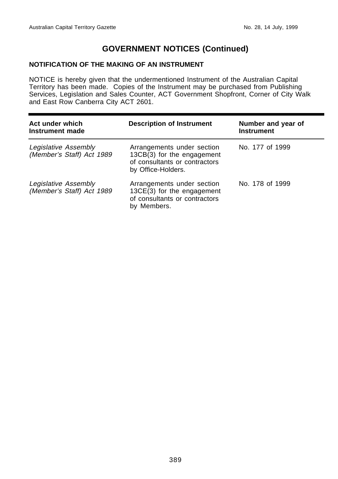#### **NOTIFICATION OF THE MAKING OF AN INSTRUMENT**

NOTICE is hereby given that the undermentioned Instrument of the Australian Capital Territory has been made. Copies of the Instrument may be purchased from Publishing Services, Legislation and Sales Counter, ACT Government Shopfront, Corner of City Walk and East Row Canberra City ACT 2601.

| Act under which<br>Instrument made                | <b>Description of Instrument</b>                                                                                | Number and year of<br><b>Instrument</b> |
|---------------------------------------------------|-----------------------------------------------------------------------------------------------------------------|-----------------------------------------|
| Legislative Assembly<br>(Member's Staff) Act 1989 | Arrangements under section<br>13CB(3) for the engagement<br>of consultants or contractors<br>by Office-Holders. | No. 177 of 1999                         |
| Legislative Assembly<br>(Member's Staff) Act 1989 | Arrangements under section<br>13CE(3) for the engagement<br>of consultants or contractors<br>by Members.        | No. 178 of 1999                         |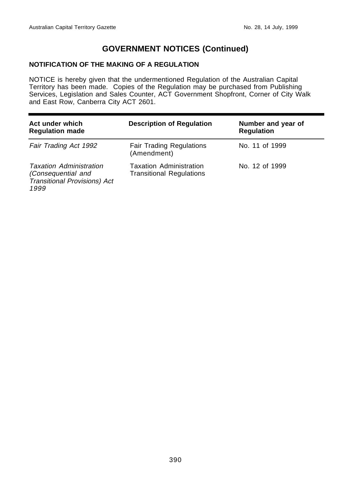#### **NOTIFICATION OF THE MAKING OF A REGULATION**

NOTICE is hereby given that the undermentioned Regulation of the Australian Capital Territory has been made. Copies of the Regulation may be purchased from Publishing Services, Legislation and Sales Counter, ACT Government Shopfront, Corner of City Walk and East Row, Canberra City ACT 2601.

| Act under which<br><b>Regulation made</b>                                                           | <b>Description of Regulation</b>                                  | Number and year of<br><b>Regulation</b> |
|-----------------------------------------------------------------------------------------------------|-------------------------------------------------------------------|-----------------------------------------|
| Fair Trading Act 1992                                                                               | <b>Fair Trading Regulations</b><br>(Amendment)                    | No. 11 of 1999                          |
| <b>Taxation Administration</b><br>(Consequential and<br><b>Transitional Provisions) Act</b><br>1999 | <b>Taxation Administration</b><br><b>Transitional Regulations</b> | No. 12 of 1999                          |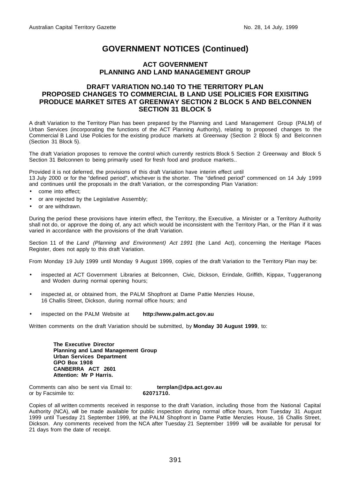#### **ACT GOVERNMENT PLANNING AND LAND MANAGEMENT GROUP**

#### **DRAFT VARIATION NO.140 TO THE TERRITORY PLAN PROPOSED CHANGES TO COMMERCIAL B LAND USE POLICIES FOR EXISITING PRODUCE MARKET SITES AT GREENWAY SECTION 2 BLOCK 5 AND BELCONNEN SECTION 31 BLOCK 5**

A draft Variation to the Territory Plan has been prepared by the Planning and Land Management Group (PALM) of Urban Services (incorporating the functions of the ACT Planning Authority), relating to proposed changes to the Commercial B Land Use Policies for the existing produce markets at Greenway (Section 2 Block 5) and Belconnen (Section 31 Block 5).

The draft Variation proposes to remove the control which currently restricts Block 5 Section 2 Greenway and Block 5 Section 31 Belconnen to being primarily used for fresh food and produce markets..

Provided it is not deferred, the provisions of this draft Variation have interim effect until

13 July 2000 or for the "defined period", whichever is the shorter. The "defined period" commenced on 14 July 1999 and continues until the proposals in the draft Variation, or the corresponding Plan Variation:

- come into effect:
- or are rejected by the Legislative Assembly;
- or are withdrawn.

During the period these provisions have interim effect, the Territory, the Executive, a Minister or a Territory Authority shall not do, or approve the doing of, any act which would be inconsistent with the Territory Plan, or the Plan if it was varied in accordance with the provisions of the draft Variation.

Section 11 of the Land (Planning and Environment) Act 1991 (the Land Act), concerning the Heritage Places Register, does not apply to this draft Variation.

From Monday 19 July 1999 until Monday 9 August 1999, copies of the draft Variation to the Territory Plan may be:

- inspected at ACT Government Libraries at Belconnen, Civic, Dickson, Erindale, Griffith, Kippax, Tuggeranong and Woden during normal opening hours;
- inspected at, or obtained from, the PALM Shopfront at Dame Pattie Menzies House, 16 Challis Street, Dickson, during normal office hours; and
- inspected on the PALM Website at **http://www.palm.act.gov.au**

Written comments on the draft Variation should be submitted, by **Monday 30 August 1999**, to:

**The Executive Director Planning and Land Management Group Urban Services Department GPO Box 1908 CANBERRA ACT 2601 Attention: Mr P Harris.**

Comments can also be sent via Email to: **terrplan@dpa.act.gov.au** or by Facsimile to: **62071710.**

Copies of all written comments received in response to the draft Variation, including those from the National Capital Authority (NCA), will be made available for public inspection during normal office hours, from Tuesday 31 August 1999 until Tuesday 21 September 1999, at the PALM Shopfront in Dame Pattie Menzies House, 16 Challis Street, Dickson. Any comments received from the NCA after Tuesday 21 September 1999 will be available for perusal for 21 days from the date of receipt.